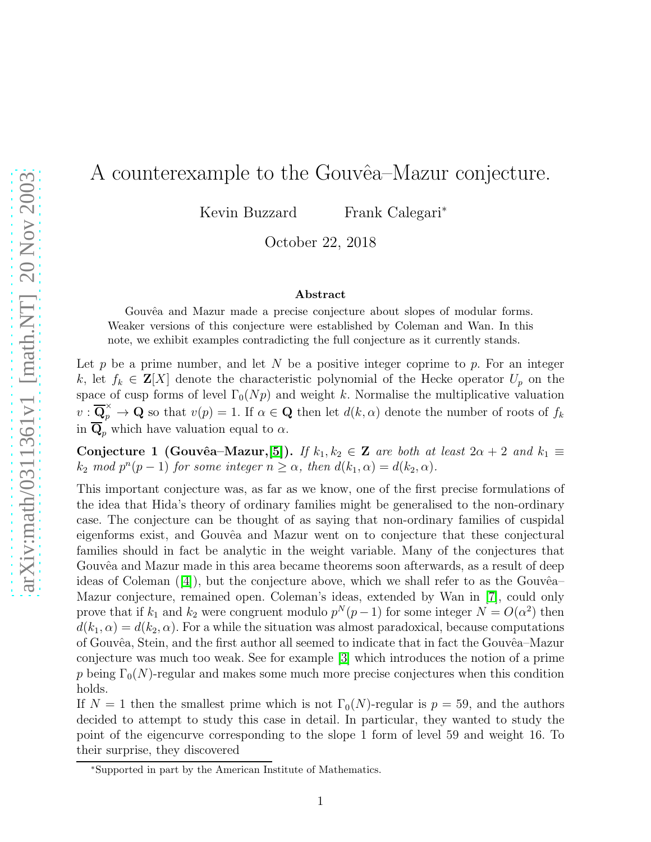## A counterexample to the Gouvêa–Mazur conjecture.

Kevin Buzzard Frank Calegari<sup>∗</sup>

October 22, 2018

## Abstract

Gouvêa and Mazur made a precise conjecture about slopes of modular forms. Weaker versions of this conjecture were established by Coleman and Wan. In this note, we exhibit examples contradicting the full conjecture as it currently stands.

Let  $p$  be a prime number, and let  $N$  be a positive integer coprime to  $p$ . For an integer k, let  $f_k \in \mathbf{Z}[X]$  denote the characteristic polynomial of the Hecke operator  $U_p$  on the space of cusp forms of level  $\Gamma_0(Np)$  and weight k. Normalise the multiplicative valuation  $v : \overline{\mathbf{Q}}_p^{\times} \to \mathbf{Q}$  so that  $v(p) = 1$ . If  $\alpha \in \mathbf{Q}$  then let  $d(k, \alpha)$  denote the number of roots of  $f_k$ in  $\overline{\mathbf{Q}}_p$  which have valuation equal to  $\alpha$ .

Conjecture 1 (Gouvêa–Mazur, [\[5\]](#page-2-0)). *If*  $k_1, k_2 \in \mathbb{Z}$  are both at least  $2\alpha + 2$  and  $k_1 \equiv$  $k_2 \mod p^n(p-1)$  *for some integer*  $n \geq \alpha$ *, then*  $d(k_1, \alpha) = d(k_2, \alpha)$ *.* 

This important conjecture was, as far as we know, one of the first precise formulations of the idea that Hida's theory of ordinary families might be generalised to the non-ordinary case. The conjecture can be thought of as saying that non-ordinary families of cuspidal eigenforms exist, and Gouvêa and Mazur went on to conjecture that these conjectural families should in fact be analytic in the weight variable. Many of the conjectures that Gouvêa and Mazur made in this area became theorems soon afterwards, as a result of deep ideasof Coleman  $([4])$  $([4])$  $([4])$ , but the conjecture above, which we shall refer to as the Gouvêa– Mazur conjecture, remained open. Coleman's ideas, extended by Wan in [\[7\]](#page-2-2), could only prove that if  $k_1$  and  $k_2$  were congruent modulo  $p^N(p-1)$  for some integer  $N = O(\alpha^2)$  then  $d(k_1, \alpha) = d(k_2, \alpha)$ . For a while the situation was almost paradoxical, because computations of Gouvêa, Stein, and the first author all seemed to indicate that in fact the Gouvêa–Mazur conjecture was much too weak. See for example [\[3\]](#page-2-3) which introduces the notion of a prime p being  $\Gamma_0(N)$ -regular and makes some much more precise conjectures when this condition holds.

If  $N = 1$  then the smallest prime which is not  $\Gamma_0(N)$ -regular is  $p = 59$ , and the authors decided to attempt to study this case in detail. In particular, they wanted to study the point of the eigencurve corresponding to the slope 1 form of level 59 and weight 16. To their surprise, they discovered

<sup>∗</sup>Supported in part by the American Institute of Mathematics.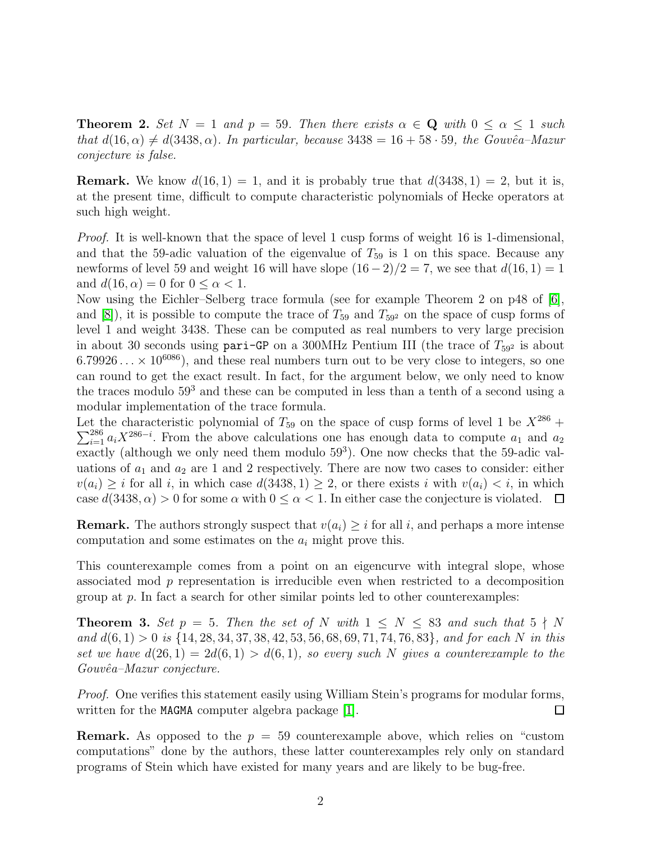**Theorem 2.** *Set*  $N = 1$  *and*  $p = 59$ *. Then there exists*  $\alpha \in \mathbb{Q}$  *with*  $0 \leq \alpha \leq 1$  *such that*  $d(16, \alpha) \neq d(3438, \alpha)$ *. In particular, because*  $3438 = 16 + 58 \cdot 59$ *, the Gouvêa–Mazur conjecture is false.*

**Remark.** We know  $d(16, 1) = 1$ , and it is probably true that  $d(3438, 1) = 2$ , but it is, at the present time, difficult to compute characteristic polynomials of Hecke operators at such high weight.

*Proof.* It is well-known that the space of level 1 cusp forms of weight 16 is 1-dimensional, and that the 59-adic valuation of the eigenvalue of  $T_{59}$  is 1 on this space. Because any newforms of level 59 and weight 16 will have slope  $(16-2)/2 = 7$ , we see that  $d(16, 1) = 1$ and  $d(16, \alpha) = 0$  for  $0 \leq \alpha < 1$ .

Now using the Eichler–Selberg trace formula (see for example Theorem 2 on p48 of [\[6\]](#page-2-4), and  $[8]$ , it is possible to compute the trace of  $T_{59}$  and  $T_{592}$  on the space of cusp forms of level 1 and weight 3438. These can be computed as real numbers to very large precision in about 30 seconds using pari-GP on a 300MHz Pentium III (the trace of  $T_{592}$  is about  $6.79926... \times 10^{6086}$ , and these real numbers turn out to be very close to integers, so one can round to get the exact result. In fact, for the argument below, we only need to know the traces modulo  $59<sup>3</sup>$  and these can be computed in less than a tenth of a second using a modular implementation of the trace formula.

Let the characteristic polynomial of  $T_{59}$  on the space of cusp forms of level 1 be  $X^{286}$  +  $\sum_{i=1}^{286} a_i X^{286-i}$ . From the above calculations one has enough data to compute  $a_1$  and  $a_2$  $\frac{2}{\pi}$  (although we only need them modulo 59<sup>3</sup>). One now checks that the 59-adic valuations of  $a_1$  and  $a_2$  are 1 and 2 respectively. There are now two cases to consider: either  $v(a_i) \geq i$  for all i, in which case  $d(3438, 1) \geq 2$ , or there exists i with  $v(a_i) < i$ , in which case  $d(3438, \alpha) > 0$  for some  $\alpha$  with  $0 \leq \alpha < 1$ . In either case the conjecture is violated.  $\Box$ 

**Remark.** The authors strongly suspect that  $v(a_i) \geq i$  for all i, and perhaps a more intense computation and some estimates on the  $a_i$  might prove this.

This counterexample comes from a point on an eigencurve with integral slope, whose associated mod  $p$  representation is irreducible even when restricted to a decomposition group at  $p$ . In fact a search for other similar points led to other counterexamples:

**Theorem 3.** Set  $p = 5$ . Then the set of N with  $1 \leq N \leq 83$  and such that  $5 \nmid N$ *and* d(6, 1) > 0 *is* {14, 28, 34, 37, 38, 42, 53, 56, 68, 69, 71, 74, 76, 83}*, and for each* N *in this set we have*  $d(26, 1) = 2d(6, 1) > d(6, 1)$ *, so every such* N gives a counterexample to the *Gouvˆea–Mazur conjecture.*

*Proof.* One verifies this statement easily using William Stein's programs for modular forms, written for the MAGMA computer algebra package [\[1\]](#page-2-5).  $\Box$ 

**Remark.** As opposed to the  $p = 59$  counterexample above, which relies on "custom" computations" done by the authors, these latter counterexamples rely only on standard programs of Stein which have existed for many years and are likely to be bug-free.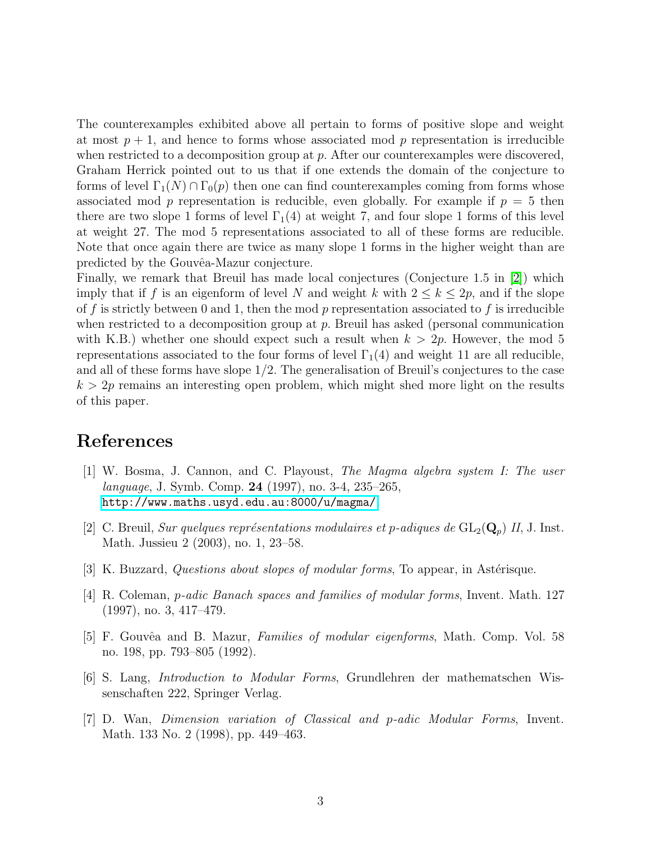The counterexamples exhibited above all pertain to forms of positive slope and weight at most  $p + 1$ , and hence to forms whose associated mod p representation is irreducible when restricted to a decomposition group at p. After our counterexamples were discovered, Graham Herrick pointed out to us that if one extends the domain of the conjecture to forms of level  $\Gamma_1(N) \cap \Gamma_0(p)$  then one can find counterexamples coming from forms whose associated mod p representation is reducible, even globally. For example if  $p = 5$  then there are two slope 1 forms of level  $\Gamma_1(4)$  at weight 7, and four slope 1 forms of this level at weight 27. The mod 5 representations associated to all of these forms are reducible. Note that once again there are twice as many slope 1 forms in the higher weight than are predicted by the Gouvêa-Mazur conjecture.

Finally, we remark that Breuil has made local conjectures (Conjecture 1.5 in [\[2\]](#page-2-6)) which imply that if f is an eigenform of level N and weight k with  $2 \leq k \leq 2p$ , and if the slope of f is strictly between 0 and 1, then the mod p representation associated to f is irreducible when restricted to a decomposition group at  $p$ . Breuil has asked (personal communication with K.B.) whether one should expect such a result when  $k > 2p$ . However, the mod 5 representations associated to the four forms of level  $\Gamma_1(4)$  and weight 11 are all reducible, and all of these forms have slope 1/2. The generalisation of Breuil's conjectures to the case  $k > 2p$  remains an interesting open problem, which might shed more light on the results of this paper.

## <span id="page-2-5"></span>References

- [1] W. Bosma, J. Cannon, and C. Playoust, *The Magma algebra system I: The user language*, J. Symb. Comp. 24 (1997), no. 3-4, 235–265, <http://www.maths.usyd.edu.au:8000/u/magma/>.
- <span id="page-2-6"></span>[2] C. Breuil, *Sur quelques représentations modulaires et p-adiques de*  $GL_2(\mathbf{Q}_p)$  *II*, J. Inst. Math. Jussieu 2 (2003), no. 1, 23–58.
- <span id="page-2-3"></span><span id="page-2-1"></span>[3] K. Buzzard, *Questions about slopes of modular forms*, To appear, in Astérisque.
- [4] R. Coleman, p*-adic Banach spaces and families of modular forms*, Invent. Math. 127 (1997), no. 3, 417–479.
- <span id="page-2-0"></span>[5] F. Gouvˆea and B. Mazur, *Families of modular eigenforms*, Math. Comp. Vol. 58 no. 198, pp. 793–805 (1992).
- <span id="page-2-4"></span>[6] S. Lang, *Introduction to Modular Forms*, Grundlehren der mathematschen Wissenschaften 222, Springer Verlag.
- <span id="page-2-2"></span>[7] D. Wan, *Dimension variation of Classical and* p*-adic Modular Forms*, Invent. Math. 133 No. 2 (1998), pp. 449–463.